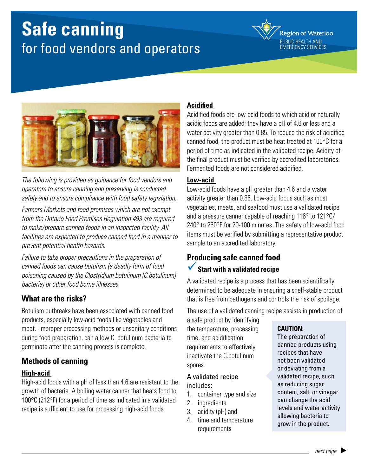# **Safe canning** for food vendors and operators

**Region of Waterloo** PUBLIC HEALTH AND EMERGENCY SERVICES



*The following is provided as guidance for food vendors and operators to ensure canning and preserving is conducted safely and to ensure compliance with food safety legislation.*

*Farmers Markets and food premises which are not exempt from the Ontario Food Premises Regulation 493 are required to make/prepare canned foods in an inspected facility. All facilities are expected to produce canned food in a manner to prevent potential health hazards.*

*Failure to take proper precautions in the preparation of canned foods can cause botulism (a deadly form of food poisoning caused by the Clostridium botulinum (C.botulinum) bacteria) or other food borne illnesses.*

## **What are the risks?**

Botulism outbreaks have been associated with canned food products, especially low-acid foods like vegetables and meat. Improper processing methods or unsanitary conditions during food preparation, can allow C. botulinum bacteria to germinate after the canning process is complete.

## **Methods of canning**

#### **High-acid**

High-acid foods with a pH of less than 4.6 are resistant to the growth of bacteria. A boiling water canner that heats food to 100°C (212°F) for a period of time as indicated in a validated recipe is sufficient to use for processing high-acid foods.

#### **Acidified**

Acidified foods are low-acid foods to which acid or naturally acidic foods are added; they have a pH of 4.6 or less and a water activity greater than 0.85. To reduce the risk of acidified canned food, the product must be heat treated at 100°C for a period of time as indicated in the validated recipe. Acidity of the final product must be verified by accredited laboratories. Fermented foods are not considered acidified.

#### **Low-acid**

Low-acid foods have a pH greater than 4.6 and a water activity greater than 0.85. Low-acid foods such as most vegetables, meats, and seafood must use a validated recipe and a pressure canner capable of reaching 116° to 121°C/ 240° to 250°F for 20-100 minutes. The safety of low-acid food items must be verified by submitting a representative product sample to an accredited laboratory.

## **Producing safe canned food** ü**Start with a validated recipe**

A validated recipe is a process that has been scientifically determined to be adequate in ensuring a shelf-stable product that is free from pathogens and controls the risk of spoilage.

The use of a validated canning recipe assists in production of

a safe product by identifying the temperature, processing time, and acidification requirements to effectively inactivate the C.botulinum spores.

#### A validated recipe includes:

- 1. container type and size
- 2. ingredients
- 3. acidity (pH) and
- 4. time and temperature requirements

#### **CAUTION:**

The preparation of canned products using recipes that have not been validated or deviating from a validated recipe, such as reducing sugar content, salt, or vinegar can change the acid levels and water activity allowing bacteria to grow in the product.